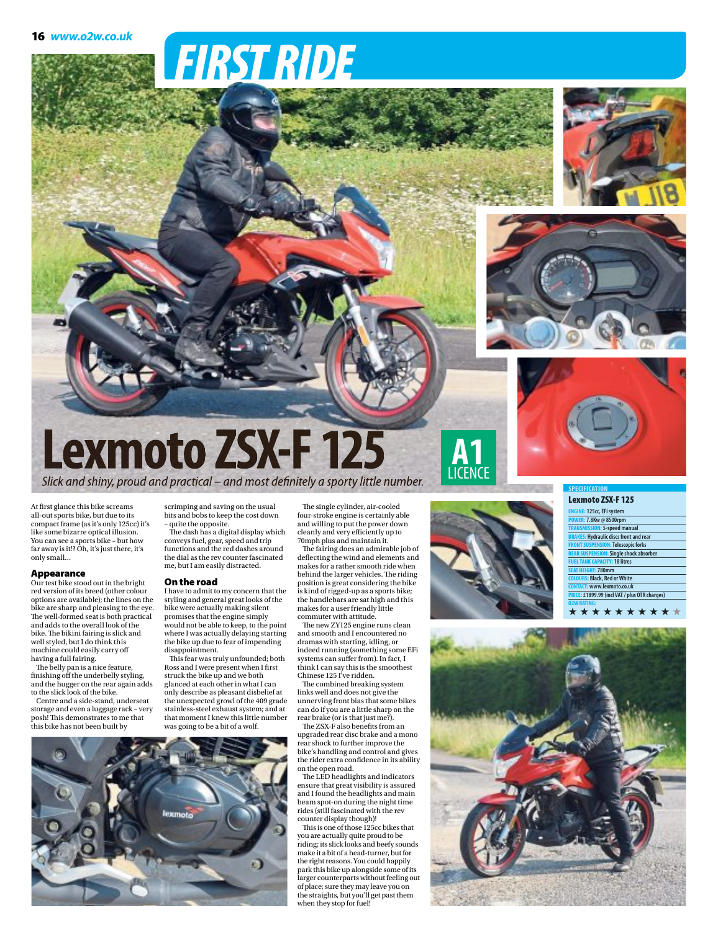# FIRSTRIDE







### **Lexmoto ZSX-F 125** Slick and shiny, proud and practical – and most definitely a sporty little number. **A1** LICENCE

At first glance this bike screams all-out sports bike, but due to its compact frame (as it's only 125cc) it's like some bizarre optical illusion. You can see a sports bike – but how far away is it!? Oh, it's just there, it's only small…

#### Appearance

Our test bike stood out in the bright red version of its breed (other colour options are available); the lines on the bike are sharp and pleasing to the eye. The well-formed seat is both practical and adds to the overall look of the bike.The bikini fairing is slick and well styled, but I do think this machine could easily carry off having a full fairing. The belly pan is a nice feature,

finishing off the underbelly styling, and the hugger on the rear again adds to the slick look of the bike.

Centre andaside-stand, underseat storage and even a luggage rack – very posh!This demonstrates to me that this bike has not been built by

scrimping and saving on the usual bits and bobs to keep the cost down quite the opposite.

The dash has a digital display which conveys fuel, gear, speed and trip functions and the red dashes around the dial as the rev counter fascinated me, but I am easily distracted.

#### On the road

I have to admit to my concern that the styling and general great looks of the bike were actually making silent promises that the engine simply would not be able to keep, to the point where I was actually delaying starting the bike up due to fear of impending disappointment.

This fear was truly unfounded; both Ross and I were present when I first struck the bike up and we both glanced at each other in what I can only describe as pleasant disbelief at the unexpected growl of the 409 grade stainless-steel exhaust system; and at that moment I knew this little number was going to be a bit of a wolf.

The single cylinder, air-cooled four-stroke engine is certainly able and willing to put the power down cleanly and very efficiently up to 70mph plus and maintain it.

The fairing does an admirable job of deflecting the wind and elements and makes for a rather smooth ride when behind the larger vehicles.The riding position is great considering the bike is kind of rigged-up as a sports bike; the handlebars are sat high and this makes for a user friendly little commuter with attitude.

The new ZY125 engine runs clean and smooth and I encountered no dramas with starting, idling, or indeed running (something some EFi systems can suffer from). In fact, I think I can say this is the smoothest Chinese 125 I've ridden.

The combined breaking system links well and does not give the unnerving front bias that some bikes can do if you are a little sharp on the rear brake (or is that just me?).

The ZSX-F also benefits from an upgraded rear disc brake and a mono rear shock to further improve the bike's handling and control and gives the rider extra confidence in its ability on the open road. The LED headlights and indicators

ensure that great visibility is assured and I found the headlights and main beam spot-on during the night time rides (still fascinated with the rev counter display though)!

Thisis one of those 125cc bikes that you are actually quite proud to be riding;its slicklooks and beefy sounds make it a bit of a head-turner, but for the right reasons. You could happily park this bike up alongside some of its<br>larger counterparts without feeling out of place; sure they mayleave you on the straights, but you'll get past them when they stop forfuel!



#### **SPECIFICATION**

#### Lexmoto ZSX-F 125 **ENGINE: 125cc,EFi system POWER: 7.8Kw@8500rpm TRANSMISSION: 5-speedmanual BRAKES: Hydraulic discs front and rear Telescopic** forks **Single shock absorber FUELTANK CAPACITY: 18 litres SEAT HEIGHT: 780mm COLOURS: Black, Red orWhite CONTACT: www.lexmoto.co.uk PRICE: £1899.99 (incl VAT/plus OTR charges) O2WRATING:** ★★★★★★ ★★★ ★